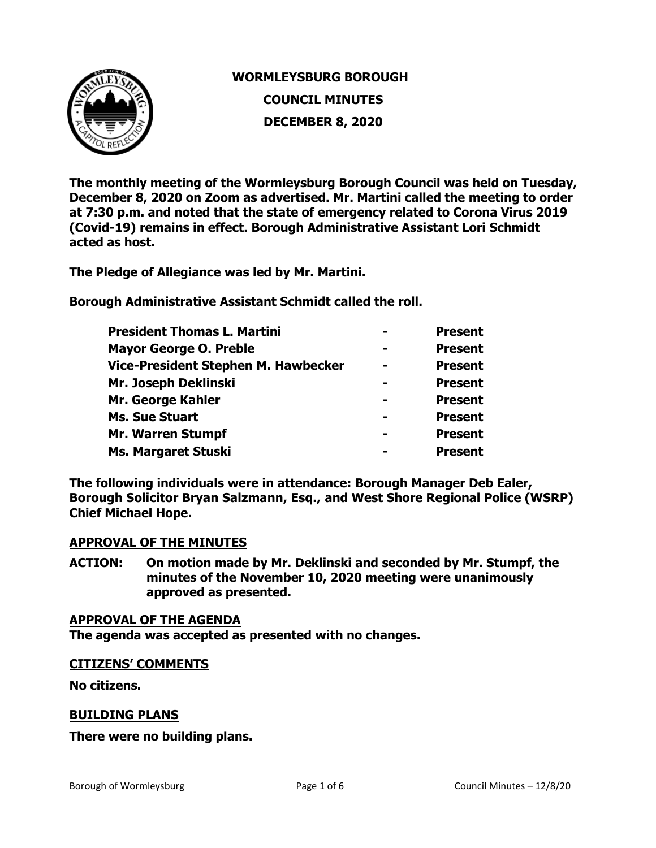

# **WORMLEYSBURG BOROUGH COUNCIL MINUTES DECEMBER 8, 2020**

**The monthly meeting of the Wormleysburg Borough Council was held on Tuesday, December 8, 2020 on Zoom as advertised. Mr. Martini called the meeting to order at 7:30 p.m. and noted that the state of emergency related to Corona Virus 2019 (Covid-19) remains in effect. Borough Administrative Assistant Lori Schmidt acted as host.** 

**The Pledge of Allegiance was led by Mr. Martini.** 

**Borough Administrative Assistant Schmidt called the roll.** 

| <b>President Thomas L. Martini</b>  | <b>Present</b> |
|-------------------------------------|----------------|
| <b>Mayor George O. Preble</b>       | <b>Present</b> |
| Vice-President Stephen M. Hawbecker | <b>Present</b> |
| Mr. Joseph Deklinski                | <b>Present</b> |
| Mr. George Kahler                   | <b>Present</b> |
| <b>Ms. Sue Stuart</b>               | <b>Present</b> |
| <b>Mr. Warren Stumpf</b>            | <b>Present</b> |
| Ms. Margaret Stuski                 | <b>Present</b> |

**The following individuals were in attendance: Borough Manager Deb Ealer, Borough Solicitor Bryan Salzmann, Esq., and West Shore Regional Police (WSRP) Chief Michael Hope.** 

## **APPROVAL OF THE MINUTES**

**ACTION: On motion made by Mr. Deklinski and seconded by Mr. Stumpf, the minutes of the November 10, 2020 meeting were unanimously approved as presented.** 

## **APPROVAL OF THE AGENDA**

**The agenda was accepted as presented with no changes.**

## **CITIZENS' COMMENTS**

**No citizens.**

## **BUILDING PLANS**

**There were no building plans.**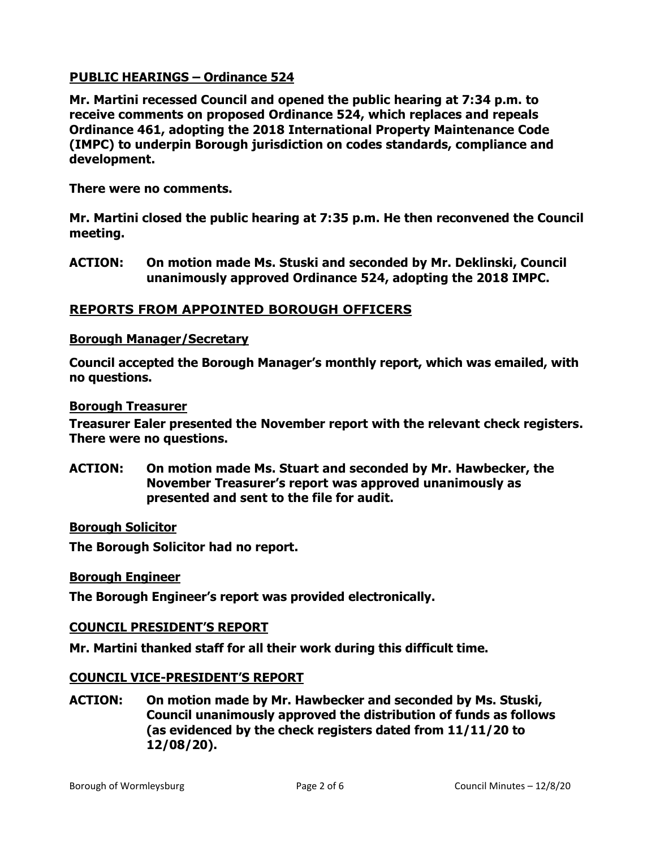# **PUBLIC HEARINGS – Ordinance 524**

**Mr. Martini recessed Council and opened the public hearing at 7:34 p.m. to receive comments on proposed Ordinance 524, which replaces and repeals Ordinance 461, adopting the 2018 International Property Maintenance Code (IMPC) to underpin Borough jurisdiction on codes standards, compliance and development.** 

**There were no comments.**

**Mr. Martini closed the public hearing at 7:35 p.m. He then reconvened the Council meeting.**

**ACTION: On motion made Ms. Stuski and seconded by Mr. Deklinski, Council unanimously approved Ordinance 524, adopting the 2018 IMPC.** 

## **REPORTS FROM APPOINTED BOROUGH OFFICERS**

## **Borough Manager/Secretary**

**Council accepted the Borough Manager's monthly report, which was emailed, with no questions.**

#### **Borough Treasurer**

**Treasurer Ealer presented the November report with the relevant check registers. There were no questions.** 

**ACTION: On motion made Ms. Stuart and seconded by Mr. Hawbecker, the November Treasurer's report was approved unanimously as presented and sent to the file for audit.** 

## **Borough Solicitor**

**The Borough Solicitor had no report.** 

#### **Borough Engineer**

**The Borough Engineer's report was provided electronically.** 

## **COUNCIL PRESIDENT'S REPORT**

**Mr. Martini thanked staff for all their work during this difficult time.** 

## **COUNCIL VICE-PRESIDENT'S REPORT**

**ACTION: On motion made by Mr. Hawbecker and seconded by Ms. Stuski, Council unanimously approved the distribution of funds as follows (as evidenced by the check registers dated from 11/11/20 to 12/08/20).**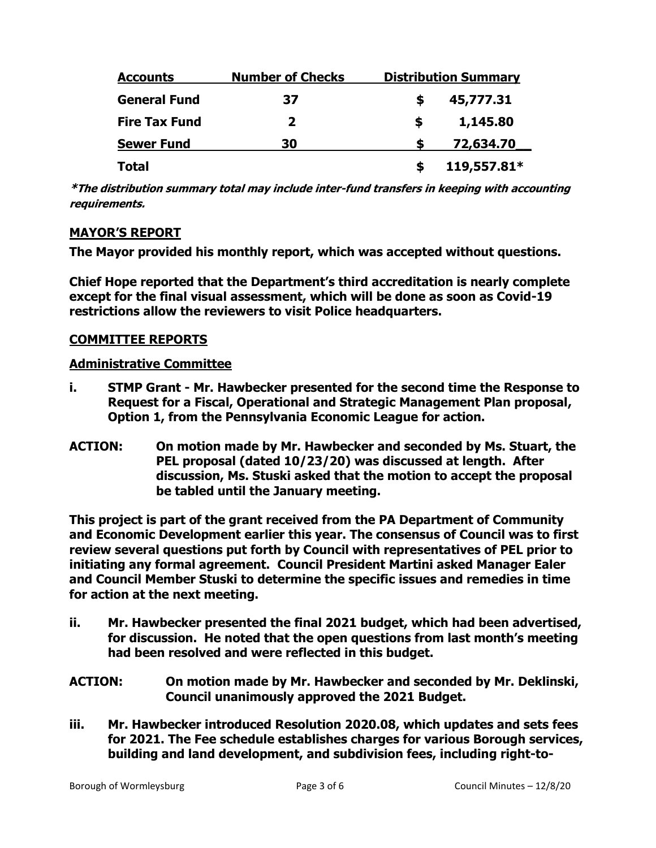| <b>Accounts</b>      | <b>Number of Checks</b> | <b>Distribution Summary</b> |
|----------------------|-------------------------|-----------------------------|
| <b>General Fund</b>  | 37                      | 45,777.31<br>S              |
| <b>Fire Tax Fund</b> | 2                       | 1,145.80<br>S               |
| <b>Sewer Fund</b>    | 30                      | 72,634.70                   |
| <b>Total</b>         |                         | 119,557.81*                 |

**\*The distribution summary total may include inter-fund transfers in keeping with accounting requirements.** 

# **MAYOR'S REPORT**

**The Mayor provided his monthly report, which was accepted without questions.** 

**Chief Hope reported that the Department's third accreditation is nearly complete except for the final visual assessment, which will be done as soon as Covid-19 restrictions allow the reviewers to visit Police headquarters.** 

## **COMMITTEE REPORTS**

## **Administrative Committee**

- **i. STMP Grant - Mr. Hawbecker presented for the second time the Response to Request for a Fiscal, Operational and Strategic Management Plan proposal, Option 1, from the Pennsylvania Economic League for action.**
- **ACTION: On motion made by Mr. Hawbecker and seconded by Ms. Stuart, the PEL proposal (dated 10/23/20) was discussed at length. After discussion, Ms. Stuski asked that the motion to accept the proposal be tabled until the January meeting.**

**This project is part of the grant received from the PA Department of Community and Economic Development earlier this year. The consensus of Council was to first review several questions put forth by Council with representatives of PEL prior to initiating any formal agreement. Council President Martini asked Manager Ealer and Council Member Stuski to determine the specific issues and remedies in time for action at the next meeting.** 

- **ii. Mr. Hawbecker presented the final 2021 budget, which had been advertised, for discussion. He noted that the open questions from last month's meeting had been resolved and were reflected in this budget.**
- **ACTION: On motion made by Mr. Hawbecker and seconded by Mr. Deklinski, Council unanimously approved the 2021 Budget.**
- **iii. Mr. Hawbecker introduced Resolution 2020.08, which updates and sets fees for 2021. The Fee schedule establishes charges for various Borough services, building and land development, and subdivision fees, including right-to-**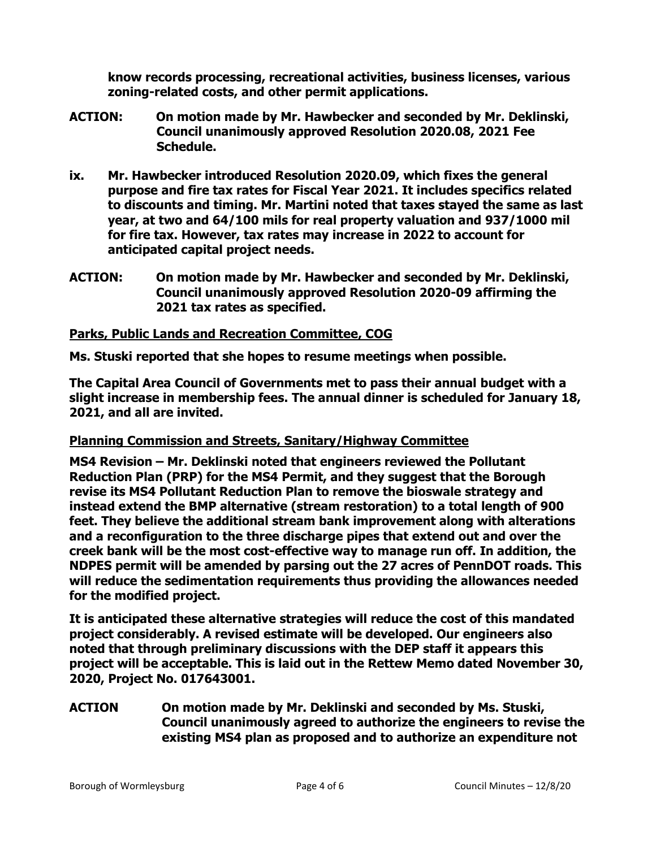**know records processing, recreational activities, business licenses, various zoning-related costs, and other permit applications.** 

- **ACTION: On motion made by Mr. Hawbecker and seconded by Mr. Deklinski, Council unanimously approved Resolution 2020.08, 2021 Fee Schedule.**
- **ix. Mr. Hawbecker introduced Resolution 2020.09, which fixes the general purpose and fire tax rates for Fiscal Year 2021. It includes specifics related to discounts and timing. Mr. Martini noted that taxes stayed the same as last year, at two and 64/100 mils for real property valuation and 937/1000 mil for fire tax. However, tax rates may increase in 2022 to account for anticipated capital project needs.**
- **ACTION: On motion made by Mr. Hawbecker and seconded by Mr. Deklinski, Council unanimously approved Resolution 2020-09 affirming the 2021 tax rates as specified.**

## **Parks, Public Lands and Recreation Committee, COG**

**Ms. Stuski reported that she hopes to resume meetings when possible.**

**The Capital Area Council of Governments met to pass their annual budget with a slight increase in membership fees. The annual dinner is scheduled for January 18, 2021, and all are invited.**

# **Planning Commission and Streets, Sanitary/Highway Committee**

**MS4 Revision – Mr. Deklinski noted that engineers reviewed the Pollutant Reduction Plan (PRP) for the MS4 Permit, and they suggest that the Borough revise its MS4 Pollutant Reduction Plan to remove the bioswale strategy and instead extend the BMP alternative (stream restoration) to a total length of 900 feet. They believe the additional stream bank improvement along with alterations and a reconfiguration to the three discharge pipes that extend out and over the creek bank will be the most cost-effective way to manage run off. In addition, the NDPES permit will be amended by parsing out the 27 acres of PennDOT roads. This will reduce the sedimentation requirements thus providing the allowances needed for the modified project.**

**It is anticipated these alternative strategies will reduce the cost of this mandated project considerably. A revised estimate will be developed. Our engineers also noted that through preliminary discussions with the DEP staff it appears this project will be acceptable. This is laid out in the Rettew Memo dated November 30, 2020, Project No. 017643001.** 

**ACTION On motion made by Mr. Deklinski and seconded by Ms. Stuski, Council unanimously agreed to authorize the engineers to revise the existing MS4 plan as proposed and to authorize an expenditure not**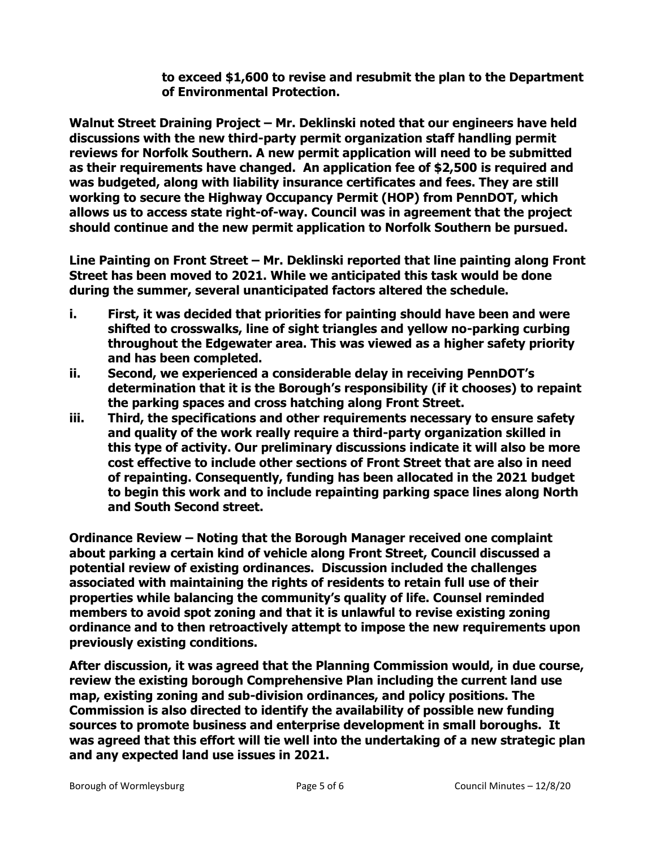**to exceed \$1,600 to revise and resubmit the plan to the Department of Environmental Protection.**

**Walnut Street Draining Project – Mr. Deklinski noted that our engineers have held discussions with the new third-party permit organization staff handling permit reviews for Norfolk Southern. A new permit application will need to be submitted as their requirements have changed. An application fee of \$2,500 is required and was budgeted, along with liability insurance certificates and fees. They are still working to secure the Highway Occupancy Permit (HOP) from PennDOT, which allows us to access state right-of-way. Council was in agreement that the project should continue and the new permit application to Norfolk Southern be pursued.**

**Line Painting on Front Street – Mr. Deklinski reported that line painting along Front Street has been moved to 2021. While we anticipated this task would be done during the summer, several unanticipated factors altered the schedule.** 

- **i. First, it was decided that priorities for painting should have been and were shifted to crosswalks, line of sight triangles and yellow no-parking curbing throughout the Edgewater area. This was viewed as a higher safety priority and has been completed.**
- **ii. Second, we experienced a considerable delay in receiving PennDOT's determination that it is the Borough's responsibility (if it chooses) to repaint the parking spaces and cross hatching along Front Street.**
- **iii. Third, the specifications and other requirements necessary to ensure safety and quality of the work really require a third-party organization skilled in this type of activity. Our preliminary discussions indicate it will also be more cost effective to include other sections of Front Street that are also in need of repainting. Consequently, funding has been allocated in the 2021 budget to begin this work and to include repainting parking space lines along North and South Second street.**

**Ordinance Review – Noting that the Borough Manager received one complaint about parking a certain kind of vehicle along Front Street, Council discussed a potential review of existing ordinances. Discussion included the challenges associated with maintaining the rights of residents to retain full use of their properties while balancing the community's quality of life. Counsel reminded members to avoid spot zoning and that it is unlawful to revise existing zoning ordinance and to then retroactively attempt to impose the new requirements upon previously existing conditions.**

**After discussion, it was agreed that the Planning Commission would, in due course, review the existing borough Comprehensive Plan including the current land use map, existing zoning and sub-division ordinances, and policy positions. The Commission is also directed to identify the availability of possible new funding sources to promote business and enterprise development in small boroughs. It was agreed that this effort will tie well into the undertaking of a new strategic plan and any expected land use issues in 2021.**